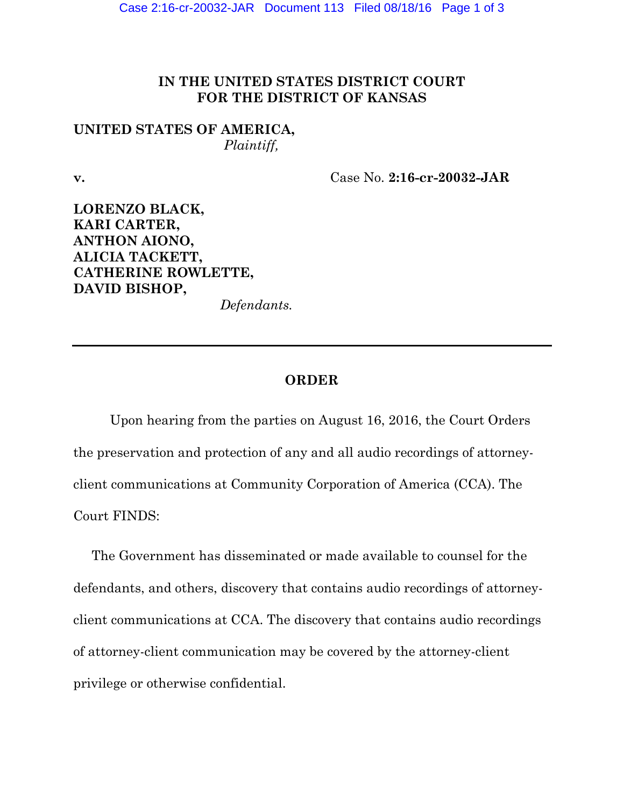## **IN THE UNITED STATES DISTRICT COURT FOR THE DISTRICT OF KANSAS**

## **UNITED STATES OF AMERICA,** *Plaintiff,*

**v.** Case No. **2:16-cr-20032-JAR** 

**LORENZO BLACK, KARI CARTER, ANTHON AIONO, ALICIA TACKETT, CATHERINE ROWLETTE, DAVID BISHOP,** 

*Defendants.* 

## **ORDER**

 Upon hearing from the parties on August 16, 2016, the Court Orders the preservation and protection of any and all audio recordings of attorneyclient communications at Community Corporation of America (CCA). The Court FINDS:

The Government has disseminated or made available to counsel for the defendants, and others, discovery that contains audio recordings of attorneyclient communications at CCA. The discovery that contains audio recordings of attorney-client communication may be covered by the attorney-client privilege or otherwise confidential.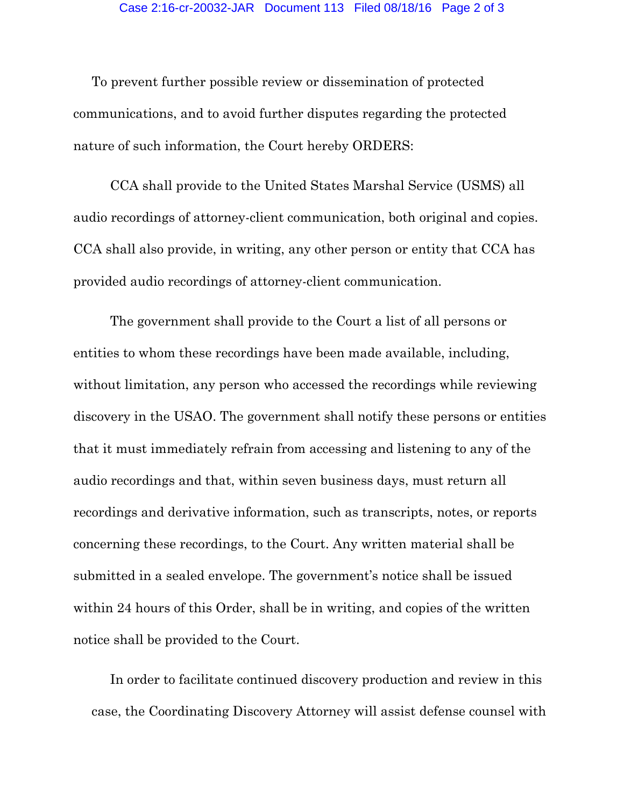To prevent further possible review or dissemination of protected communications, and to avoid further disputes regarding the protected nature of such information, the Court hereby ORDERS:

 CCA shall provide to the United States Marshal Service (USMS) all audio recordings of attorney-client communication, both original and copies. CCA shall also provide, in writing, any other person or entity that CCA has provided audio recordings of attorney-client communication.

 The government shall provide to the Court a list of all persons or entities to whom these recordings have been made available, including, without limitation, any person who accessed the recordings while reviewing discovery in the USAO. The government shall notify these persons or entities that it must immediately refrain from accessing and listening to any of the audio recordings and that, within seven business days, must return all recordings and derivative information, such as transcripts, notes, or reports concerning these recordings, to the Court. Any written material shall be submitted in a sealed envelope. The government's notice shall be issued within 24 hours of this Order, shall be in writing, and copies of the written notice shall be provided to the Court.

 In order to facilitate continued discovery production and review in this case, the Coordinating Discovery Attorney will assist defense counsel with